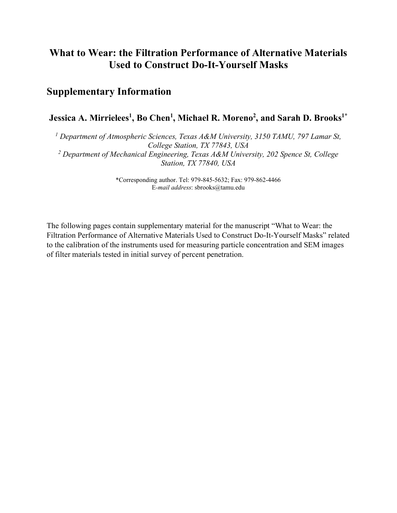## **What to Wear: the Filtration Performance of Alternative Materials Used to Construct Do-It-Yourself Masks**

## **Supplementary Information**

## **Jessica A. Mirrielees1 , Bo Chen1 , Michael R. Moreno2 , and Sarah D. Brooks1\***

*<sup>1</sup> Department of Atmospheric Sciences, Texas A&M University, 3150 TAMU, 797 Lamar St, College Station, TX 77843, USA <sup>2</sup> Department of Mechanical Engineering, Texas A&M University, 202 Spence St, College Station, TX 77840, USA*

> \*Corresponding author. Tel: 979-845-5632; Fax: 979-862-4466 E*-mail address*: sbrooks@tamu.edu

The following pages contain supplementary material for the manuscript "What to Wear: the Filtration Performance of Alternative Materials Used to Construct Do-It-Yourself Masks" related to the calibration of the instruments used for measuring particle concentration and SEM images of filter materials tested in initial survey of percent penetration.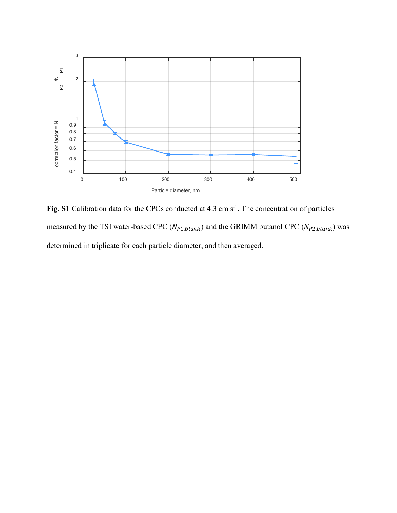

Fig. S1 Calibration data for the CPCs conducted at 4.3 cm s<sup>-1</sup>. The concentration of particles measured by the TSI water-based CPC ( $N_{P1, blank}$ ) and the GRIMM butanol CPC ( $N_{P2, blank}$ ) was determined in triplicate for each particle diameter, and then averaged.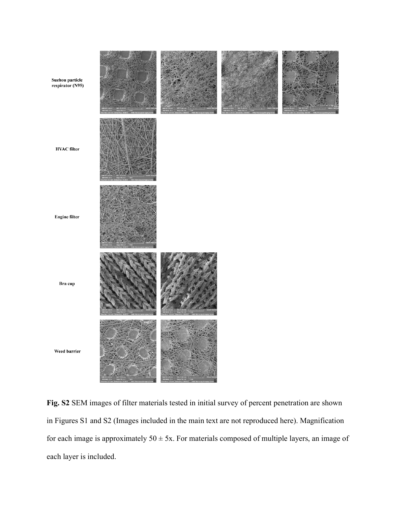

**Fig. S2** SEM images of filter materials tested in initial survey of percent penetration are shown in Figures S1 and S2 (Images included in the main text are not reproduced here). Magnification for each image is approximately  $50 \pm 5x$ . For materials composed of multiple layers, an image of each layer is included.